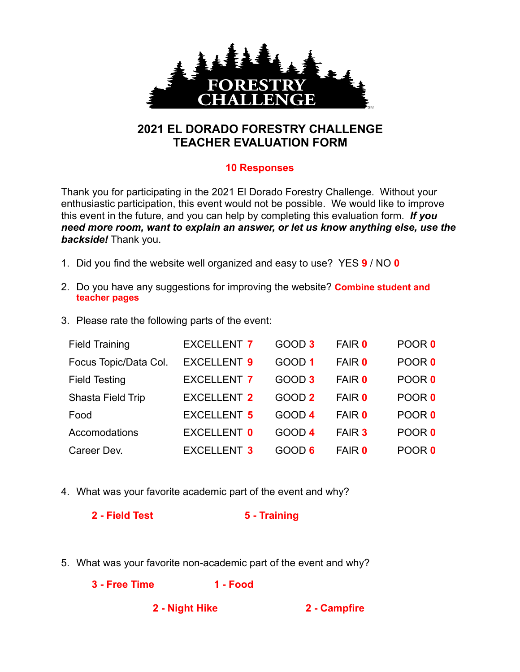

## **2021 EL DORADO FORESTRY CHALLENGE TEACHER EVALUATION FORM**

## **10 Responses**

Thank you for participating in the 2021 El Dorado Forestry Challenge. Without your enthusiastic participation, this event would not be possible. We would like to improve this event in the future, and you can help by completing this evaluation form. *If you need more room, want to explain an answer, or let us know anything else, use the backside!* Thank you.

- 1. Did you find the website well organized and easy to use? YES **9** / NO **0**
- 2. Do you have any suggestions for improving the website? **Combine student and teacher pages**
- 3. Please rate the following parts of the event:

| <b>Field Training</b> | <b>EXCELLENT 7</b> | GOOD <sub>3</sub> | <b>FAIR 0</b> | POOR 0 |
|-----------------------|--------------------|-------------------|---------------|--------|
| Focus Topic/Data Col. | <b>EXCELLENT 9</b> | GOOD <sub>1</sub> | <b>FAIR 0</b> | POOR 0 |
| <b>Field Testing</b>  | <b>EXCELLENT 7</b> | GOOD <sub>3</sub> | <b>FAIR 0</b> | POOR 0 |
| Shasta Field Trip     | <b>EXCELLENT 2</b> | GOOD <sub>2</sub> | <b>FAIR 0</b> | POOR 0 |
| Food                  | <b>EXCELLENT 5</b> | GOOD 4            | <b>FAIR 0</b> | POOR 0 |
| Accomodations         | EXCELLENT 0        | GOOD 4            | FAIR 3        | POOR 0 |
| Career Dev.           | <b>EXCELLENT 3</b> | GOOD 6            | <b>FAIR 0</b> | POOR 0 |

4. What was your favorite academic part of the event and why?

**2 - Field Test 5 - Training**

- 5. What was your favorite non-academic part of the event and why?
	- **3 Free Time 1 Food**

**2 - Night Hike 2 - Campfire**